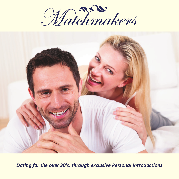



*Dating for the over 30's, through exclusive Personal Introductions*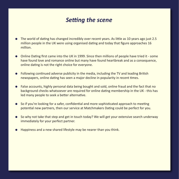### *Setting the scene*

- l The world of dating has changed incredibly over recent years. As little as 10 years ago just 2.5 million people in the UK were using organised dating and today that figure approaches 16 million.
- Online Dating first came into the UK in 1999. Since then millions of people have tried it some have found love and romance online but many have found heartbreak and as a consequence, online dating is not the right choice for everyone.
- Following continued adverse publicity in the media, including the TV and leading British newspapers, online dating has seen a major decline in popularity in recent times.
- l False accounts, highly personal data being bought and sold, online fraud and the fact that no background checks whatsoever are required for online dating membership in the UK - this has led many people to seek a better alternative.
- So if you're looking for a safer, confidential and more sophisticated approach to meeting potential new partners, then our service at Matchmakers Dating could be perfect for you.
- So why not take that step and get in touch today? We will get your extensive search underway immediately for your perfect partner.
- Happiness and a new shared lifestyle may be nearer than you think.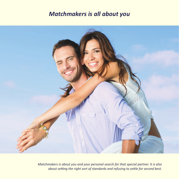#### *Matchmakers is all about you*



*Matchmakers is about you and your personal search for that special partner. It is also about setting the right sort of standards and refusing to settle for second best.*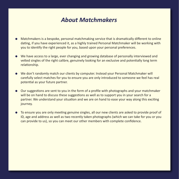### *About Matchmakers*

- l Matchmakers is a bespoke, personal matchmaking service that is dramatically different to online dating, if you have experienced it, as a highly trained Personal Matchmaker will be working with you to identify the right people for you, based upon your personal preferences.
- $\bullet$  We have access to a large, ever changing and growing database of personally interviewed and vetted singles of the right calibre, genuinely looking for an exclusive and potentially long term relationship.
- We don't randomly match our clients by computer. Instead your Personal Matchmaker will carefully select matches for you to ensure you are only introduced to someone we feel has real potential as your future partner.
- Our suggestions are sent to you in the form of a profile with photographs and your matchmaker will be on hand to discuss these suggestions as well as to support you in your search for a partner. We understand your situation and we are on hand to ease your way along this exciting journey.
- l To ensure you are only meeting genuine singles, all our new clients are asked to provide proof of ID, age and address as well as two recently taken photographs (which we can take for you or you can provide to us), so you can meet our other members with complete confidence.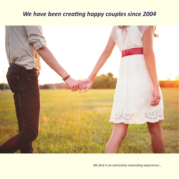# *We have been creating happy couples since 2004*



*We find it an extremely rewarding experience...*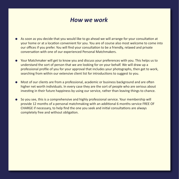#### *How we work*

- l As soon as you decide that you would like to go ahead we will arrange for your consultation at your home or at a location convenient for you. You are of course also most welcome to come into our offices if you prefer. You will find your consultation to be a friendly, relaxed and private conversation with one of our experienced Personal Matchmakers.
- l Your Matchmaker will get to know you and discuss your preferences with you. This helps us to understand the sort of person that we are looking for on your behalf. We will draw up a professional profile of you for your approval that includes your photographs, then get to work, searching from within our extensive client list for introductions to suggest to you.
- l Most of our clients are from a professional, academic or business background and are often higher net worth individuals. In every case they are the sort of people who are serious about investing in their future happiness by using our service, rather than leaving things to chance.
- l So you see, this is a comprehensive and highly professional service. Your membership will provide 12 months of a personal matchmaking with an additional 6 months service FREE OF CHARGE if necessary, to help find the one you seek and initial consultations are always completely free and without obligation.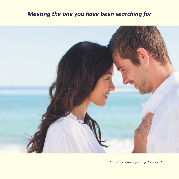# *Meeting the one you have been searching for*



*Can truly change your life forever...!*